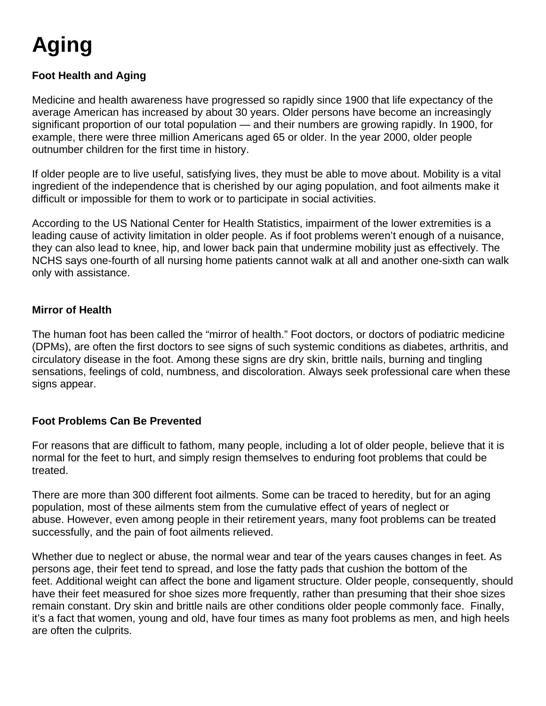# **Aging**

# **Foot Health and Aging**

Medicine and health awareness have progressed so rapidly since 1900 that life expectancy of the average American has increased by about 30 years. Older persons have become an increasingly significant proportion of our total population — and their numbers are growing rapidly. In 1900, for example, there were three million Americans aged 65 or older. In the year 2000, older people outnumber children for the first time in history.

If older people are to live useful, satisfying lives, they must be able to move about. Mobility is a vital ingredient of the independence that is cherished by our aging population, and foot ailments make it difficult or impossible for them to work or to participate in social activities.

According to the US National Center for Health Statistics, impairment of the lower extremities is a leading cause of activity limitation in older people. As if foot problems weren't enough of a nuisance, they can also lead to knee, hip, and lower back pain that undermine mobility just as effectively. The NCHS says one-fourth of all nursing home patients cannot walk at all and another one-sixth can walk only with assistance.

#### **Mirror of Health**

The human foot has been called the "mirror of health." Foot doctors, or doctors of podiatric medicine (DPMs), are often the first doctors to see signs of such systemic conditions as diabetes, arthritis, and circulatory disease in the foot. Among these signs are dry skin, brittle nails, burning and tingling sensations, feelings of cold, numbness, and discoloration. Always seek professional care when these signs appear.

### **Foot Problems Can Be Prevented**

For reasons that are difficult to fathom, many people, including a lot of older people, believe that it is normal for the feet to hurt, and simply resign themselves to enduring foot problems that could be treated.

There are more than 300 different foot ailments. Some can be traced to heredity, but for an aging population, most of these ailments stem from the cumulative effect of years of neglect or abuse. However, even among people in their retirement years, many foot problems can be treated successfully, and the pain of foot ailments relieved.

Whether due to neglect or abuse, the normal wear and tear of the years causes changes in feet. As persons age, their feet tend to spread, and lose the fatty pads that cushion the bottom of the feet. Additional weight can affect the bone and ligament structure. Older people, consequently, should have their feet measured for shoe sizes more frequently, rather than presuming that their shoe sizes remain constant. Dry skin and brittle nails are other conditions older people commonly face. Finally, it's a fact that women, young and old, have four times as many foot problems as men, and high heels are often the culprits.